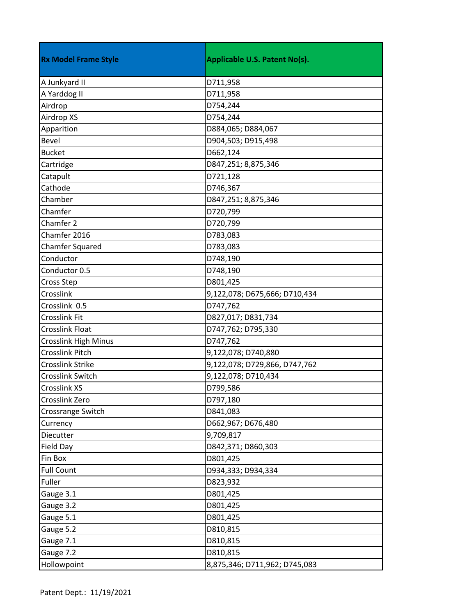| <b>Rx Model Frame Style</b> | <b>Applicable U.S. Patent No(s).</b> |
|-----------------------------|--------------------------------------|
| A Junkyard II               | D711,958                             |
| A Yarddog II                | D711,958                             |
| Airdrop                     | D754,244                             |
| Airdrop XS                  | D754,244                             |
| Apparition                  | D884,065; D884,067                   |
| <b>Bevel</b>                | D904,503; D915,498                   |
| <b>Bucket</b>               | D662,124                             |
| Cartridge                   | D847,251; 8,875,346                  |
| Catapult                    | D721,128                             |
| Cathode                     | D746,367                             |
| Chamber                     | D847,251; 8,875,346                  |
| Chamfer                     | D720,799                             |
| Chamfer 2                   | D720,799                             |
| Chamfer 2016                | D783,083                             |
| <b>Chamfer Squared</b>      | D783,083                             |
| Conductor                   | D748,190                             |
| Conductor 0.5               | D748,190                             |
| Cross Step                  | D801,425                             |
| Crosslink                   | 9,122,078; D675,666; D710,434        |
| Crosslink 0.5               | D747,762                             |
| <b>Crosslink Fit</b>        | D827,017; D831,734                   |
| <b>Crosslink Float</b>      | D747,762; D795,330                   |
| <b>Crosslink High Minus</b> | D747,762                             |
| <b>Crosslink Pitch</b>      | 9,122,078; D740,880                  |
| Crosslink Strike            | 9,122,078; D729,866, D747,762        |
| Crosslink Switch            | 9,122,078; D710,434                  |
| <b>Crosslink XS</b>         | D799,586                             |
| Crosslink Zero              | D797,180                             |
| Crossrange Switch           | D841,083                             |
| Currency                    | D662,967; D676,480                   |
| Diecutter                   | 9,709,817                            |
| Field Day                   | D842,371; D860,303                   |
| Fin Box                     | D801,425                             |
| <b>Full Count</b>           | D934,333; D934,334                   |
| Fuller                      | D823,932                             |
| Gauge 3.1                   | D801,425                             |
| Gauge 3.2                   | D801,425                             |
| Gauge 5.1                   | D801,425                             |
| Gauge 5.2                   | D810,815                             |
| Gauge 7.1                   | D810,815                             |
| Gauge 7.2                   | D810,815                             |
| Hollowpoint                 | 8,875,346; D711,962; D745,083        |